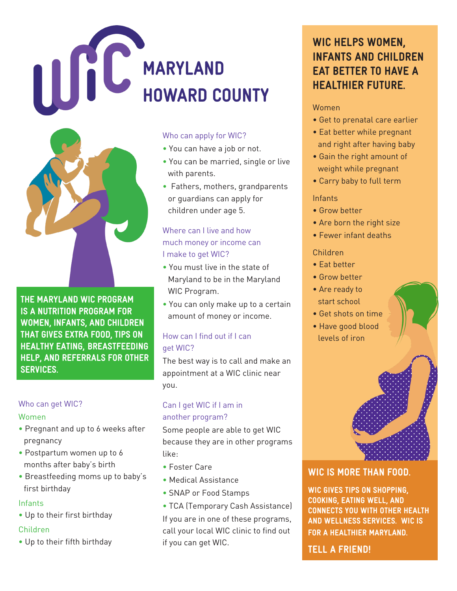# NO C MARYLAND



THE MARYLAND WIC PROGRAM IS A NUTRITION PROGRAM FOR WOMEN, INFANTS, AND CHILDREN THAT GIVES EXTRA FOOD, TIPS ON HEALTHY EATING, BREASTFEEDING HELP, AND REFERRALS FOR OTHER SERVICES.

#### Who can get WIC?

#### Women

- Pregnant and up to 6 weeks after pregnancy
- Postpartum women up to 6 months after baby's birth
- Breastfeeding moms up to baby's first birthday

#### Infants

• Up to their first birthday

### Children

• Up to their fifth birthday

#### Who can apply for WIC?

- You can have a job or not.
- You can be married, single or live with parents.
- Fathers, mothers, grandparents or guardians can apply for children under age 5.

#### Where can I live and how much money or income can I make to get WIC?

- You must live in the state of Maryland to be in the Maryland WIC Program.
- You can only make up to a certain amount of money or income.

# How can I find out if I can get WIC?

The best way is to call and make an appointment at a WIC clinic near you.

#### Can I get WIC if I am in another program?

Some people are able to get WIC because they are in other programs like:

- Foster Care
- Medical Assistance
- SNAP or Food Stamps
- TCA (Temporary Cash Assistance)

If you are in one of these programs, call your local WIC clinic to find out if you can get WIC.

# WIC HELPS WOMEN, INFANTS AND CHILDREN EAT BETTER TO HAVE A HEALTHIER FUTURE.

#### Women

- Get to prenatal care earlier
- Eat better while pregnant and right after having baby
- Gain the right amount of weight while pregnant
- Carry baby to full term

#### Infants

- Grow better
- Are born the right size
- Fewer infant deaths

#### Children

- Eat better
- Grow better
- Are ready to start school
- Get shots on time
- Have good blood levels of iron



# WIC IS MORE THAN FOOD.

WIC GIVES TIPS ON SHOPPING, COOKING, EATING WELL, AND CONNECTS YOU WITH OTHER HEALTH AND WELLNESS SERVICES. WIC IS FOR A HEALTHIER MARYLAND.

# TELL A FRIEND!